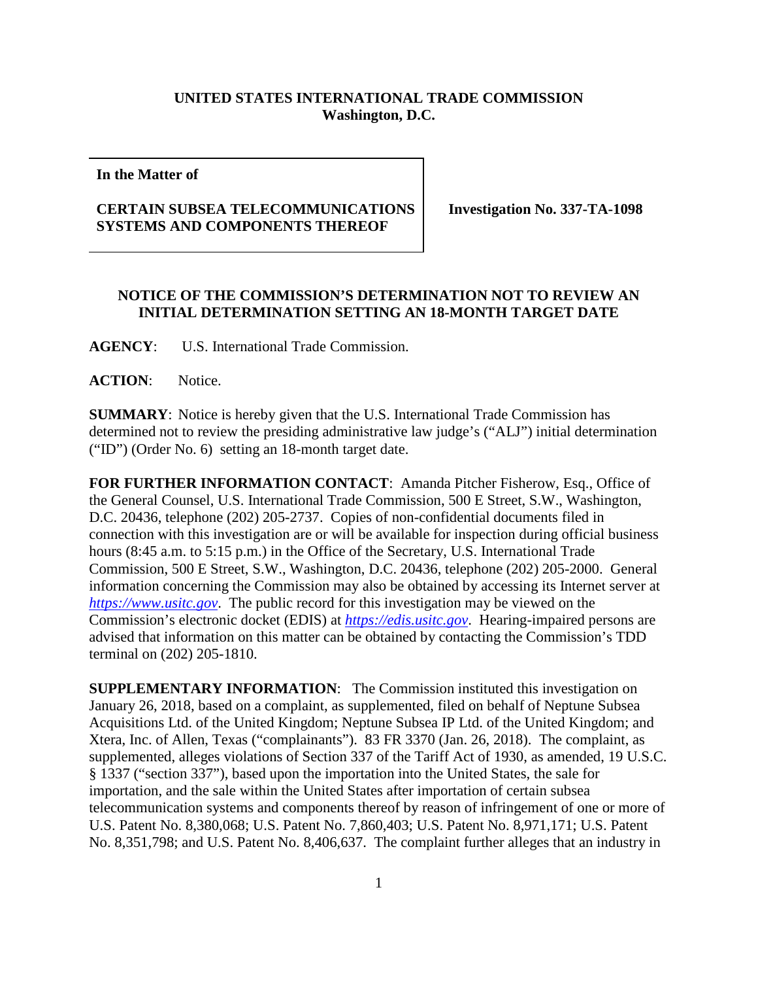## **UNITED STATES INTERNATIONAL TRADE COMMISSION Washington, D.C.**

**In the Matter of**

## **CERTAIN SUBSEA TELECOMMUNICATIONS SYSTEMS AND COMPONENTS THEREOF**

**Investigation No. 337-TA-1098**

## **NOTICE OF THE COMMISSION'S DETERMINATION NOT TO REVIEW AN INITIAL DETERMINATION SETTING AN 18-MONTH TARGET DATE**

**AGENCY**: U.S. International Trade Commission.

**ACTION**: Notice.

**SUMMARY**: Notice is hereby given that the U.S. International Trade Commission has determined not to review the presiding administrative law judge's ("ALJ") initial determination ("ID") (Order No. 6) setting an 18-month target date.

**FOR FURTHER INFORMATION CONTACT**: Amanda Pitcher Fisherow, Esq., Office of the General Counsel, U.S. International Trade Commission, 500 E Street, S.W., Washington, D.C. 20436, telephone (202) 205-2737. Copies of non-confidential documents filed in connection with this investigation are or will be available for inspection during official business hours (8:45 a.m. to 5:15 p.m.) in the Office of the Secretary, U.S. International Trade Commission, 500 E Street, S.W., Washington, D.C. 20436, telephone (202) 205-2000. General information concerning the Commission may also be obtained by accessing its Internet server at *[https://www.usitc.gov](https://www.usitc.gov/)*. The public record for this investigation may be viewed on the Commission's electronic docket (EDIS) at *[https://edis.usitc.gov](https://edis.usitc.gov/)*. Hearing-impaired persons are advised that information on this matter can be obtained by contacting the Commission's TDD terminal on (202) 205-1810.

**SUPPLEMENTARY INFORMATION:** The Commission instituted this investigation on January 26, 2018, based on a complaint, as supplemented, filed on behalf of Neptune Subsea Acquisitions Ltd. of the United Kingdom; Neptune Subsea IP Ltd. of the United Kingdom; and Xtera, Inc. of Allen, Texas ("complainants"). 83 FR 3370 (Jan. 26, 2018). The complaint, as supplemented, alleges violations of Section 337 of the Tariff Act of 1930, as amended, 19 U.S.C. § 1337 ("section 337"), based upon the importation into the United States, the sale for importation, and the sale within the United States after importation of certain subsea telecommunication systems and components thereof by reason of infringement of one or more of U.S. Patent No. 8,380,068; U.S. Patent No. 7,860,403; U.S. Patent No. 8,971,171; U.S. Patent No. 8,351,798; and U.S. Patent No. 8,406,637. The complaint further alleges that an industry in